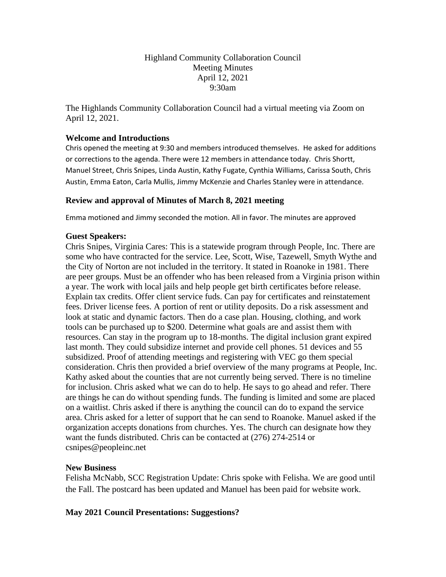Highland Community Collaboration Council Meeting Minutes April 12, 2021 9:30am

The Highlands Community Collaboration Council had a virtual meeting via Zoom on April 12, 2021.

## **Welcome and Introductions**

Chris opened the meeting at 9:30 and members introduced themselves. He asked for additions or corrections to the agenda. There were 12 members in attendance today. Chris Shortt, Manuel Street, Chris Snipes, Linda Austin, Kathy Fugate, Cynthia Williams, Carissa South, Chris Austin, Emma Eaton, Carla Mullis, Jimmy McKenzie and Charles Stanley were in attendance.

# **Review and approval of Minutes of March 8, 2021 meeting**

Emma motioned and Jimmy seconded the motion. All in favor. The minutes are approved

# **Guest Speakers:**

Chris Snipes, Virginia Cares: This is a statewide program through People, Inc. There are some who have contracted for the service. Lee, Scott, Wise, Tazewell, Smyth Wythe and the City of Norton are not included in the territory. It stated in Roanoke in 1981. There are peer groups. Must be an offender who has been released from a Virginia prison within a year. The work with local jails and help people get birth certificates before release. Explain tax credits. Offer client service fuds. Can pay for certificates and reinstatement fees. Driver license fees. A portion of rent or utility deposits. Do a risk assessment and look at static and dynamic factors. Then do a case plan. Housing, clothing, and work tools can be purchased up to \$200. Determine what goals are and assist them with resources. Can stay in the program up to 18-months. The digital inclusion grant expired last month. They could subsidize internet and provide cell phones. 51 devices and 55 subsidized. Proof of attending meetings and registering with VEC go them special consideration. Chris then provided a brief overview of the many programs at People, Inc. Kathy asked about the counties that are not currently being served. There is no timeline for inclusion. Chris asked what we can do to help. He says to go ahead and refer. There are things he can do without spending funds. The funding is limited and some are placed on a waitlist. Chris asked if there is anything the council can do to expand the service area. Chris asked for a letter of support that he can send to Roanoke. Manuel asked if the organization accepts donations from churches. Yes. The church can designate how they want the funds distributed. Chris can be contacted at (276) 274-2514 or csnipes@peopleinc.net

## **New Business**

Felisha McNabb, SCC Registration Update: Chris spoke with Felisha. We are good until the Fall. The postcard has been updated and Manuel has been paid for website work.

# **May 2021 Council Presentations: Suggestions?**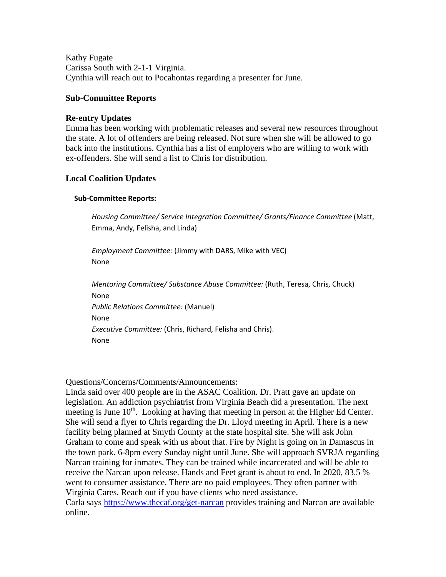Kathy Fugate Carissa South with 2-1-1 Virginia. Cynthia will reach out to Pocahontas regarding a presenter for June.

#### **Sub-Committee Reports**

#### **Re-entry Updates**

Emma has been working with problematic releases and several new resources throughout the state. A lot of offenders are being released. Not sure when she will be allowed to go back into the institutions. Cynthia has a list of employers who are willing to work with ex-offenders. She will send a list to Chris for distribution.

## **Local Coalition Updates**

#### **Sub-Committee Reports:**

*Housing Committee/ Service Integration Committee/ Grants/Finance Committee* (Matt, Emma, Andy, Felisha, and Linda)

*Employment Committee:* (Jimmy with DARS, Mike with VEC) None

*Mentoring Committee/ Substance Abuse Committee:* (Ruth, Teresa, Chris, Chuck) None *Public Relations Committee:* (Manuel) None *Executive Committee:* (Chris, Richard, Felisha and Chris). None

Questions/Concerns/Comments/Announcements:

Linda said over 400 people are in the ASAC Coalition. Dr. Pratt gave an update on legislation. An addiction psychiatrist from Virginia Beach did a presentation. The next meeting is June  $10<sup>th</sup>$ . Looking at having that meeting in person at the Higher Ed Center. She will send a flyer to Chris regarding the Dr. Lloyd meeting in April. There is a new facility being planned at Smyth County at the state hospital site. She will ask John Graham to come and speak with us about that. Fire by Night is going on in Damascus in the town park. 6-8pm every Sunday night until June. She will approach SVRJA regarding Narcan training for inmates. They can be trained while incarcerated and will be able to receive the Narcan upon release. Hands and Feet grant is about to end. In 2020, 83.5 % went to consumer assistance. There are no paid employees. They often partner with Virginia Cares. Reach out if you have clients who need assistance. Carla says<https://www.thecaf.org/get-narcan> provides training and Narcan are available online.